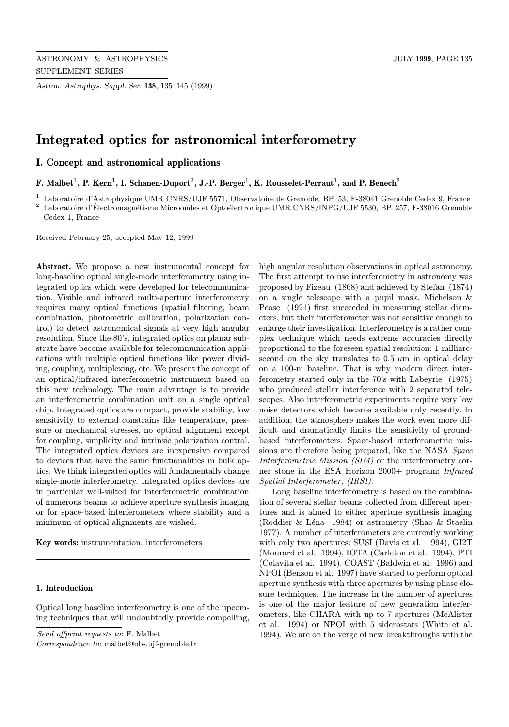Astron. Astrophys. Suppl. Ser. 138, 135–145 (1999)

# Integrated optics for astronomical interferometry

I. Concept and astronomical applications

F. Malbet<sup>1</sup>, P. Kern<sup>1</sup>, I. Schanen-Duport<sup>2</sup>, J.-P. Berger<sup>1</sup>, K. Rousselet-Perraut<sup>1</sup>, and P. Benech<sup>2</sup>

<sup>1</sup> Laboratoire d'Astrophysique UMR CNRS/UJF 5571, Observatoire de Grenoble, BP. 53, F-38041 Grenoble Cedex 9, France

<sup>2</sup> Laboratoire d'Électromagnétisme Microondes et Optoélectronique UMR CNRS/INPG/UJF 5530, BP. 257, F-38016 Grenoble Cedex 1, France

Received February 25; accepted May 12, 1999

Abstract. We propose a new instrumental concept for long-baseline optical single-mode interferometry using integrated optics which were developed for telecommunication. Visible and infrared multi-aperture interferometry requires many optical functions (spatial filtering, beam combination, photometric calibration, polarization control) to detect astronomical signals at very high angular resolution. Since the 80's, integrated optics on planar substrate have become available for telecommunication applications with multiple optical functions like power dividing, coupling, multiplexing, etc. We present the concept of an optical/infrared interferometric instrument based on this new technology. The main advantage is to provide an interferometric combination unit on a single optical chip. Integrated optics are compact, provide stability, low sensitivity to external constrains like temperature, pressure or mechanical stresses, no optical alignment except for coupling, simplicity and intrinsic polarization control. The integrated optics devices are inexpensive compared to devices that have the same functionalities in bulk optics. We think integrated optics will fundamentally change single-mode interferometry. Integrated optics devices are in particular well-suited for interferometric combination of numerous beams to achieve aperture synthesis imaging or for space-based interferometers where stability and a minimum of optical alignments are wished.

Key words: instrumentation: interferometers

# 1. Introduction

Optical long baseline interferometry is one of the upcoming techniques that will undoubtedly provide compelling,

Send offprint requests to: F. Malbet

Correspondence to: malbet@obs.ujf-grenoble.fr

high angular resolution observations in optical astronomy. The first attempt to use interferometry in astronomy was proposed by Fizeau (1868) and achieved by Stefan (1874) on a single telescope with a pupil mask. Michelson & Pease (1921) first succeeded in measuring stellar diameters, but their interferometer was not sensitive enough to enlarge their investigation. Interferometry is a rather complex technique which needs extreme accuracies directly proportional to the foreseen spatial resolution: 1 milliarcsecond on the sky translates to  $0.5 \mu m$  in optical delay on a 100-m baseline. That is why modern direct interferometry started only in the 70's with Labeyrie (1975) who produced stellar interference with 2 separated telescopes. Also interferometric experiments require very low noise detectors which became available only recently. In addition, the atmosphere makes the work even more difficult and dramatically limits the sensitivity of groundbased interferometers. Space-based interferometric missions are therefore being prepared, like the NASA Space Interferometric Mission (SIM) or the interferometry corner stone in the ESA Horizon 2000+ program: Infrared Spatial Interferometer, (IRSI).

Long baseline interferometry is based on the combination of several stellar beams collected from different apertures and is aimed to either aperture synthesis imaging (Roddier & L´ena 1984) or astrometry (Shao & Staelin 1977). A number of interferometers are currently working with only two apertures: SUSI (Davis et al. 1994), GI2T (Mourard et al. 1994), IOTA (Carleton et al. 1994), PTI (Colavita et al. 1994). COAST (Baldwin et al. 1996) and NPOI (Benson et al. 1997) have started to perform optical aperture synthesis with three apertures by using phase closure techniques. The increase in the number of apertures is one of the major feature of new generation interferometers, like CHARA with up to 7 apertures (McAlister et al. 1994) or NPOI with 5 siderostats (White et al. 1994). We are on the verge of new breakthroughs with the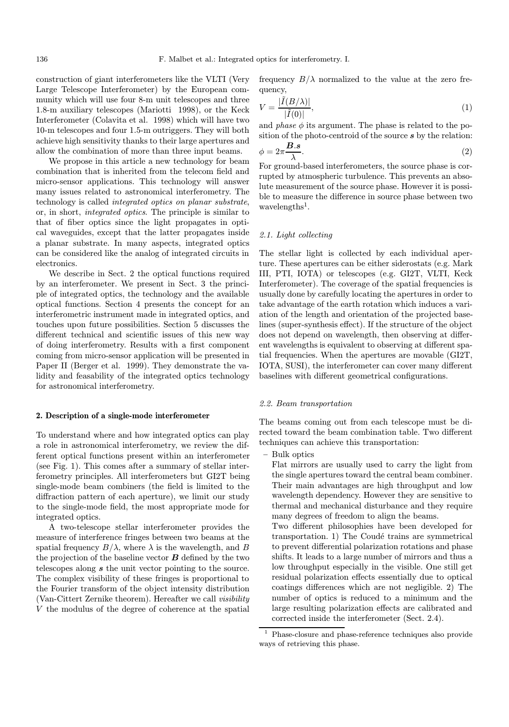construction of giant interferometers like the VLTI (Very Large Telescope Interferometer) by the European community which will use four 8-m unit telescopes and three 1.8-m auxiliary telescopes (Mariotti 1998), or the Keck Interferometer (Colavita et al. 1998) which will have two 10-m telescopes and four 1.5-m outriggers. They will both achieve high sensitivity thanks to their large apertures and allow the combination of more than three input beams.

We propose in this article a new technology for beam combination that is inherited from the telecom field and micro-sensor applications. This technology will answer many issues related to astronomical interferometry. The technology is called integrated optics on planar substrate, or, in short, integrated optics. The principle is similar to that of fiber optics since the light propagates in optical waveguides, except that the latter propagates inside a planar substrate. In many aspects, integrated optics can be considered like the analog of integrated circuits in electronics.

We describe in Sect. 2 the optical functions required by an interferometer. We present in Sect. 3 the principle of integrated optics, the technology and the available optical functions. Section 4 presents the concept for an interferometric instrument made in integrated optics, and touches upon future possibilities. Section 5 discusses the different technical and scientific issues of this new way of doing interferometry. Results with a first component coming from micro-sensor application will be presented in Paper II (Berger et al. 1999). They demonstrate the validity and feasability of the integrated optics technology for astronomical interferometry.

#### 2. Description of a single-mode interferometer

To understand where and how integrated optics can play a role in astronomical interferometry, we review the different optical functions present within an interferometer (see Fig. 1). This comes after a summary of stellar interferometry principles. All interferometers but GI2T being single-mode beam combiners (the field is limited to the diffraction pattern of each aperture), we limit our study to the single-mode field, the most appropriate mode for integrated optics.

A two-telescope stellar interferometer provides the measure of interference fringes between two beams at the spatial frequency  $B/\lambda$ , where  $\lambda$  is the wavelength, and B the projection of the baseline vector  $\boldsymbol{B}$  defined by the two telescopes along s the unit vector pointing to the source. The complex visibility of these fringes is proportional to the Fourier transform of the object intensity distribution (Van-Cittert Zernike theorem). Hereafter we call visibility V the modulus of the degree of coherence at the spatial frequency  $B/\lambda$  normalized to the value at the zero frequency,

$$
V = \frac{|\tilde{I}(B/\lambda)|}{|\tilde{I}(0)|},\tag{1}
$$

and *phase*  $\phi$  its argument. The phase is related to the position of the photo-centroid of the source  $s$  by the relation:

$$
\phi = 2\pi \frac{\mathbf{B} \cdot \mathbf{s}}{\lambda}.\tag{2}
$$

For ground-based interferometers, the source phase is corrupted by atmospheric turbulence. This prevents an absolute measurement of the source phase. However it is possible to measure the difference in source phase between two wavelengths<sup>1</sup>.

## 2.1. Light collecting

The stellar light is collected by each individual aperture. These apertures can be either siderostats (e.g. Mark III, PTI, IOTA) or telescopes (e.g. GI2T, VLTI, Keck Interferometer). The coverage of the spatial frequencies is usually done by carefully locating the apertures in order to take advantage of the earth rotation which induces a variation of the length and orientation of the projected baselines (super-synthesis effect). If the structure of the object does not depend on wavelength, then observing at different wavelengths is equivalent to observing at different spatial frequencies. When the apertures are movable (GI2T, IOTA, SUSI), the interferometer can cover many different baselines with different geometrical configurations.

## 2.2. Beam transportation

The beams coming out from each telescope must be directed toward the beam combination table. Two different techniques can achieve this transportation:

– Bulk optics

Flat mirrors are usually used to carry the light from the single apertures toward the central beam combiner. Their main advantages are high throughput and low wavelength dependency. However they are sensitive to thermal and mechanical disturbance and they require many degrees of freedom to align the beams.

Two different philosophies have been developed for transportation. 1) The Coudé trains are symmetrical to prevent differential polarization rotations and phase shifts. It leads to a large number of mirrors and thus a low throughput especially in the visible. One still get residual polarization effects essentially due to optical coatings differences which are not negligible. 2) The number of optics is reduced to a minimum and the large resulting polarization effects are calibrated and corrected inside the interferometer (Sect. 2.4).

<sup>1</sup> Phase-closure and phase-reference techniques also provide ways of retrieving this phase.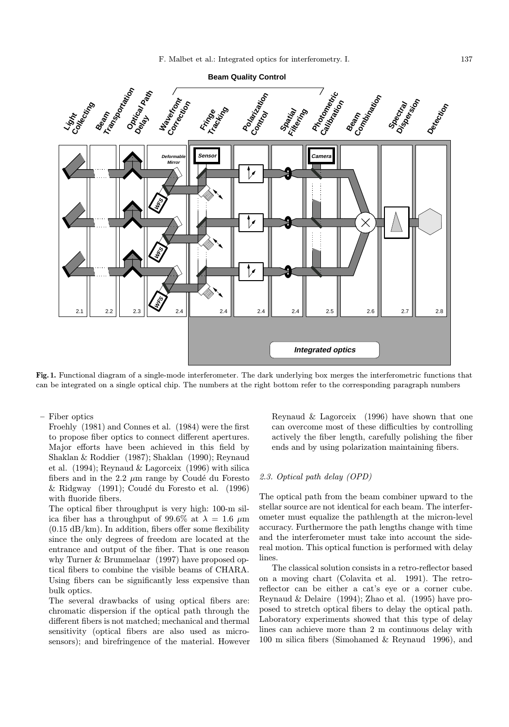





Fig. 1. Functional diagram of a single-mode interferometer. The dark underlying box merges the interferometric functions that can be integrated on a single optical chip. The numbers at the right bottom refer to the corresponding paragraph numbers

– Fiber optics

Froehly (1981) and Connes et al. (1984) were the first to propose fiber optics to connect different apertures. Major efforts have been achieved in this field by Shaklan & Roddier (1987); Shaklan (1990); Reynaud et al. (1994); Reynaud & Lagorceix (1996) with silica fibers and in the 2.2  $\mu$ m range by Coudé du Foresto  $&$  Ridgway (1991); Coudé du Foresto et al. (1996) with fluoride fibers.

The optical fiber throughput is very high: 100-m silica fiber has a throughput of 99.6% at  $\lambda = 1.6 \mu m$  $(0.15 \text{ dB/km})$ . In addition, fibers offer some flexibility since the only degrees of freedom are located at the entrance and output of the fiber. That is one reason why Turner & Brummelaar (1997) have proposed optical fibers to combine the visible beams of CHARA. Using fibers can be significantly less expensive than bulk optics.

The several drawbacks of using optical fibers are: chromatic dispersion if the optical path through the different fibers is not matched; mechanical and thermal sensitivity (optical fibers are also used as microsensors); and birefringence of the material. However Reynaud & Lagorceix (1996) have shown that one can overcome most of these difficulties by controlling actively the fiber length, carefully polishing the fiber ends and by using polarization maintaining fibers.

## 2.3. Optical path delay (OPD)

The optical path from the beam combiner upward to the stellar source are not identical for each beam. The interferometer must equalize the pathlength at the micron-level accuracy. Furthermore the path lengths change with time and the interferometer must take into account the sidereal motion. This optical function is performed with delay lines.

The classical solution consists in a retro-reflector based on a moving chart (Colavita et al. 1991). The retroreflector can be either a cat's eye or a corner cube. Reynaud & Delaire (1994); Zhao et al. (1995) have proposed to stretch optical fibers to delay the optical path. Laboratory experiments showed that this type of delay lines can achieve more than 2 m continuous delay with 100 m silica fibers (Simohamed & Reynaud 1996), and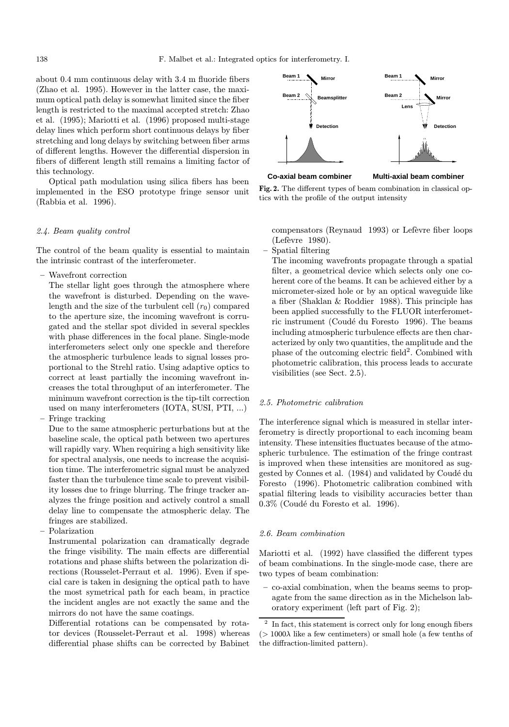about 0.4 mm continuous delay with 3.4 m fluoride fibers (Zhao et al. 1995). However in the latter case, the maximum optical path delay is somewhat limited since the fiber length is restricted to the maximal accepted stretch: Zhao et al. (1995); Mariotti et al. (1996) proposed multi-stage delay lines which perform short continuous delays by fiber stretching and long delays by switching between fiber arms of different lengths. However the differential dispersion in fibers of different length still remains a limiting factor of this technology.

Optical path modulation using silica fibers has been implemented in the ESO prototype fringe sensor unit (Rabbia et al. 1996).

#### 2.4. Beam quality control

The control of the beam quality is essential to maintain the intrinsic contrast of the interferometer.

– Wavefront correction

The stellar light goes through the atmosphere where the wavefront is disturbed. Depending on the wavelength and the size of the turbulent cell  $(r_0)$  compared to the aperture size, the incoming wavefront is corrugated and the stellar spot divided in several speckles with phase differences in the focal plane. Single-mode interferometers select only one speckle and therefore the atmospheric turbulence leads to signal losses proportional to the Strehl ratio. Using adaptive optics to correct at least partially the incoming wavefront increases the total throughput of an interferometer. The minimum wavefront correction is the tip-tilt correction used on many interferometers (IOTA, SUSI, PTI, ...)

– Fringe tracking

Due to the same atmospheric perturbations but at the baseline scale, the optical path between two apertures will rapidly vary. When requiring a high sensitivity like for spectral analysis, one needs to increase the acquisition time. The interferometric signal must be analyzed faster than the turbulence time scale to prevent visibility losses due to fringe blurring. The fringe tracker analyzes the fringe position and actively control a small delay line to compensate the atmospheric delay. The fringes are stabilized.

– Polarization

Instrumental polarization can dramatically degrade the fringe visibility. The main effects are differential rotations and phase shifts between the polarization directions (Rousselet-Perraut et al. 1996). Even if special care is taken in designing the optical path to have the most symetrical path for each beam, in practice the incident angles are not exactly the same and the mirrors do not have the same coatings.

Differential rotations can be compensated by rotator devices (Rousselet-Perraut et al. 1998) whereas differential phase shifts can be corrected by Babinet



**Co-axial beam combiner Multi-axial beam combiner**

Fig. 2. The different types of beam combination in classical optics with the profile of the output intensity

compensators (Reynaud 1993) or Lefèvre fiber loops  $($ Lefèvre 1980 $).$ 

– Spatial filtering

The incoming wavefronts propagate through a spatial filter, a geometrical device which selects only one coherent core of the beams. It can be achieved either by a micrometer-sized hole or by an optical waveguide like a fiber (Shaklan & Roddier 1988). This principle has been applied successfully to the FLUOR interferometric instrument (Coudé du Foresto 1996). The beams including atmospheric turbulence effects are then characterized by only two quantities, the amplitude and the phase of the outcoming electric field<sup>2</sup>. Combined with photometric calibration, this process leads to accurate visibilities (see Sect. 2.5).

## 2.5. Photometric calibration

The interference signal which is measured in stellar interferometry is directly proportional to each incoming beam intensity. These intensities fluctuates because of the atmospheric turbulence. The estimation of the fringe contrast is improved when these intensities are monitored as suggested by Connes et al. (1984) and validated by Coudé du Foresto (1996). Photometric calibration combined with spatial filtering leads to visibility accuracies better than  $0.3\%$  (Coudé du Foresto et al. 1996).

## 2.6. Beam combination

Mariotti et al. (1992) have classified the different types of beam combinations. In the single-mode case, there are two types of beam combination:

– co-axial combination, when the beams seems to propagate from the same direction as in the Michelson laboratory experiment (left part of Fig. 2);

 $^{\rm 2}$  In fact, this statement is correct only for long enough fibers  $(>1000\lambda)$  like a few centimeters) or small hole (a few tenths of the diffraction-limited pattern).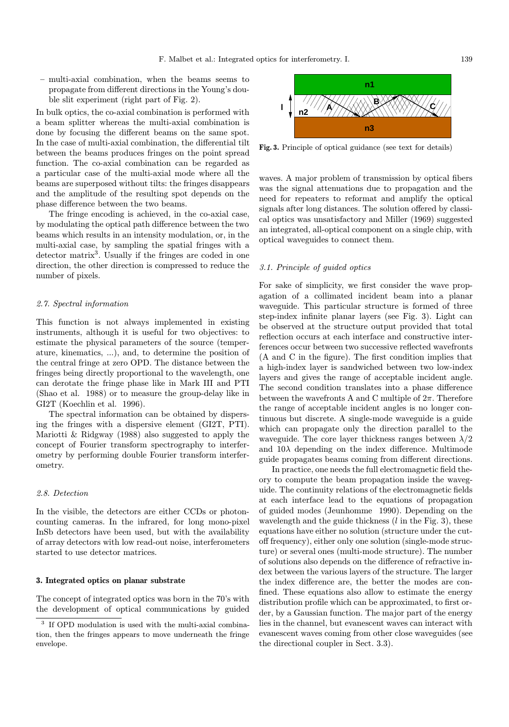– multi-axial combination, when the beams seems to propagate from different directions in the Young's double slit experiment (right part of Fig. 2).

In bulk optics, the co-axial combination is performed with a beam splitter whereas the multi-axial combination is done by focusing the different beams on the same spot. In the case of multi-axial combination, the differential tilt between the beams produces fringes on the point spread function. The co-axial combination can be regarded as a particular case of the multi-axial mode where all the beams are superposed without tilts: the fringes disappears and the amplitude of the resulting spot depends on the phase difference between the two beams.

The fringe encoding is achieved, in the co-axial case, by modulating the optical path difference between the two beams which results in an intensity modulation, or, in the multi-axial case, by sampling the spatial fringes with a detector matrix<sup>3</sup>. Usually if the fringes are coded in one direction, the other direction is compressed to reduce the number of pixels.

# 2.7. Spectral information

This function is not always implemented in existing instruments, although it is useful for two objectives: to estimate the physical parameters of the source (temperature, kinematics, ...), and, to determine the position of the central fringe at zero OPD. The distance between the fringes being directly proportional to the wavelength, one can derotate the fringe phase like in Mark III and PTI (Shao et al. 1988) or to measure the group-delay like in GI2T (Koechlin et al. 1996).

The spectral information can be obtained by dispersing the fringes with a dispersive element (GI2T, PTI). Mariotti & Ridgway (1988) also suggested to apply the concept of Fourier transform spectrography to interferometry by performing double Fourier transform interferometry.

#### 2.8. Detection

In the visible, the detectors are either CCDs or photoncounting cameras. In the infrared, for long mono-pixel InSb detectors have been used, but with the availability of array detectors with low read-out noise, interferometers started to use detector matrices.

## 3. Integrated optics on planar substrate

The concept of integrated optics was born in the 70's with the development of optical communications by guided



Fig. 3. Principle of optical guidance (see text for details)

waves. A major problem of transmission by optical fibers was the signal attenuations due to propagation and the need for repeaters to reformat and amplify the optical signals after long distances. The solution offered by classical optics was unsatisfactory and Miller (1969) suggested an integrated, all-optical component on a single chip, with optical waveguides to connect them.

## 3.1. Principle of guided optics

For sake of simplicity, we first consider the wave propagation of a collimated incident beam into a planar waveguide. This particular structure is formed of three step-index infinite planar layers (see Fig. 3). Light can be observed at the structure output provided that total reflection occurs at each interface and constructive interferences occur between two successive reflected wavefronts (A and C in the figure). The first condition implies that a high-index layer is sandwiched between two low-index layers and gives the range of acceptable incident angle. The second condition translates into a phase difference between the wavefronts A and C multiple of  $2\pi$ . Therefore the range of acceptable incident angles is no longer continuous but discrete. A single-mode waveguide is a guide which can propagate only the direction parallel to the waveguide. The core layer thickness ranges between  $\lambda/2$ and  $10\lambda$  depending on the index difference. Multimode guide propagates beams coming from different directions.

In practice, one needs the full electromagnetic field theory to compute the beam propagation inside the waveguide. The continuity relations of the electromagnetic fields at each interface lead to the equations of propagation of guided modes (Jeunhomme 1990). Depending on the wavelength and the guide thickness  $(l \text{ in the Fig. 3})$ , these equations have either no solution (structure under the cutoff frequency), either only one solution (single-mode structure) or several ones (multi-mode structure). The number of solutions also depends on the difference of refractive index between the various layers of the structure. The larger the index difference are, the better the modes are confined. These equations also allow to estimate the energy distribution profile which can be approximated, to first order, by a Gaussian function. The major part of the energy lies in the channel, but evanescent waves can interact with evanescent waves coming from other close waveguides (see the directional coupler in Sect. 3.3).

If OPD modulation is used with the multi-axial combination, then the fringes appears to move underneath the fringe envelope.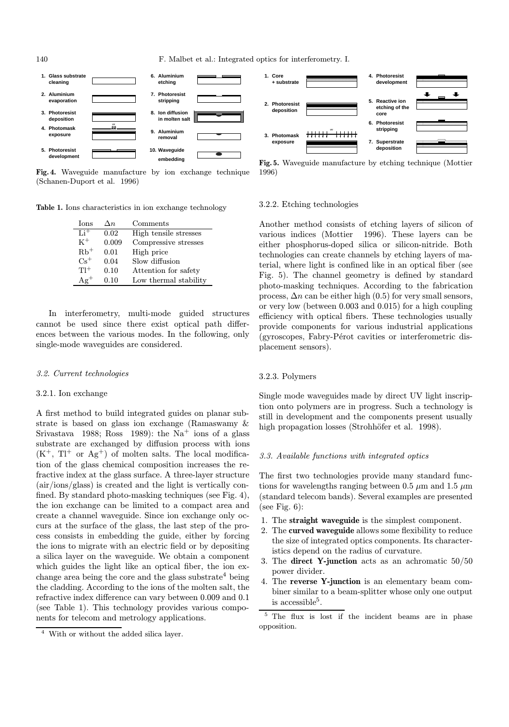140 F. Malbet et al.: Integrated optics for interferometry. I.



Fig. 4. Waveguide manufacture by ion exchange technique (Schanen-Duport et al. 1996)

Table 1. Ions characteristics in ion exchange technology

| <b>Ions</b>       | $\Delta n$ | Comments              |
|-------------------|------------|-----------------------|
| $Li^+$            | 0.02       | High tensile stresses |
| $K^+$             | 0.009      | Compressive stresses  |
| $Rb$ <sup>+</sup> | 0.01       | High price            |
| $Cs^+$            | 0.04       | Slow diffusion        |
| $T1^+$            | 0.10       | Attention for safety  |
| $Ae^+$            | 0.10       | Low thermal stability |

In interferometry, multi-mode guided structures cannot be used since there exist optical path differences between the various modes. In the following, only single-mode waveguides are considered.

## 3.2. Current technologies

#### 3.2.1. Ion exchange

A first method to build integrated guides on planar substrate is based on glass ion exchange (Ramaswamy & Srivastava 1988; Ross 1989): the Na<sup>+</sup> ions of a glass substrate are exchanged by diffusion process with ions  $(K^+$ ,  $T^+$  or  $Ag^+$ ) of molten salts. The local modification of the glass chemical composition increases the refractive index at the glass surface. A three-layer structure (air/ions/glass) is created and the light is vertically confined. By standard photo-masking techniques (see Fig. 4), the ion exchange can be limited to a compact area and create a channel waveguide. Since ion exchange only occurs at the surface of the glass, the last step of the process consists in embedding the guide, either by forcing the ions to migrate with an electric field or by depositing a silica layer on the waveguide. We obtain a component which guides the light like an optical fiber, the ion exchange area being the core and the glass substrate<sup>4</sup> being the cladding. According to the ions of the molten salt, the refractive index difference can vary between 0.009 and 0.1 (see Table 1). This technology provides various components for telecom and metrology applications.



Fig. 5. Waveguide manufacture by etching technique (Mottier 1996)

## 3.2.2. Etching technologies

Another method consists of etching layers of silicon of various indices (Mottier 1996). These layers can be either phosphorus-doped silica or silicon-nitride. Both technologies can create channels by etching layers of material, where light is confined like in an optical fiber (see Fig. 5). The channel geometry is defined by standard photo-masking techniques. According to the fabrication process,  $\Delta n$  can be either high (0.5) for very small sensors, or very low (between 0.003 and 0.015) for a high coupling efficiency with optical fibers. These technologies usually provide components for various industrial applications (gyroscopes, Fabry-Pérot cavities or interferometric displacement sensors).

#### 3.2.3. Polymers

Single mode waveguides made by direct UV light inscription onto polymers are in progress. Such a technology is still in development and the components present usually high propagation losses (Strohhöfer et al. 1998).

## 3.3. Available functions with integrated optics

The first two technologies provide many standard functions for wavelengths ranging between 0.5  $\mu$ m and 1.5  $\mu$ m (standard telecom bands). Several examples are presented (see Fig.  $6$ ):

- 1. The straight waveguide is the simplest component.
- 2. The curved waveguide allows some flexibility to reduce the size of integrated optics components. Its characteristics depend on the radius of curvature.
- 3. The direct Y-junction acts as an achromatic 50/50 power divider.
- 4. The reverse Y-junction is an elementary beam combiner similar to a beam-splitter whose only one output is accessible<sup>5</sup>.

<sup>5</sup> The flux is lost if the incident beams are in phase opposition.

<sup>4</sup> With or without the added silica layer.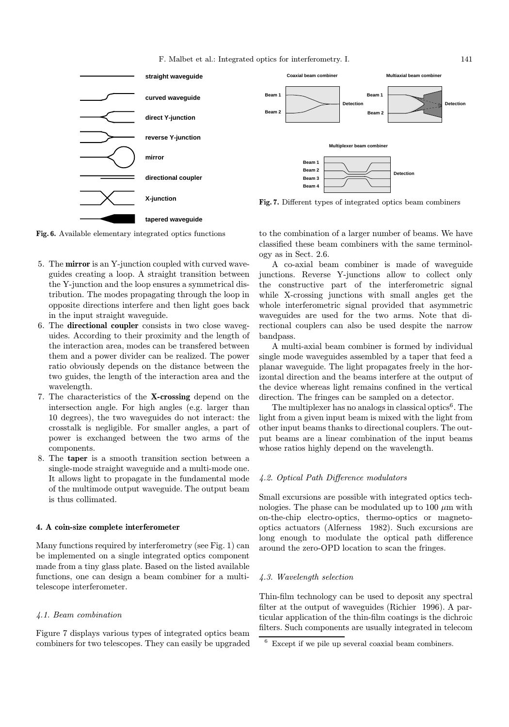

**tapered waveguide**

Fig. 6. Available elementary integrated optics functions

- 5. The mirror is an Y-junction coupled with curved waveguides creating a loop. A straight transition between the Y-junction and the loop ensures a symmetrical distribution. The modes propagating through the loop in opposite directions interfere and then light goes back in the input straight waveguide.
- 6. The directional coupler consists in two close waveguides. According to their proximity and the length of the interaction area, modes can be transfered between them and a power divider can be realized. The power ratio obviously depends on the distance between the two guides, the length of the interaction area and the wavelength.
- 7. The characteristics of the X-crossing depend on the intersection angle. For high angles (e.g. larger than 10 degrees), the two waveguides do not interact: the crosstalk is negligible. For smaller angles, a part of power is exchanged between the two arms of the components.
- 8. The taper is a smooth transition section between a single-mode straight waveguide and a multi-mode one. It allows light to propagate in the fundamental mode of the multimode output waveguide. The output beam is thus collimated.

## 4. A coin-size complete interferometer

Many functions required by interferometry (see Fig. 1) can be implemented on a single integrated optics component made from a tiny glass plate. Based on the listed available functions, one can design a beam combiner for a multitelescope interferometer.

## 4.1. Beam combination

Figure 7 displays various types of integrated optics beam combiners for two telescopes. They can easily be upgraded to the combination of a larger number of beams. We have classified these beam combiners with the same terminology as in Sect. 2.6.

A co-axial beam combiner is made of waveguide junctions. Reverse Y-junctions allow to collect only the constructive part of the interferometric signal while X-crossing junctions with small angles get the whole interferometric signal provided that asymmetric waveguides are used for the two arms. Note that directional couplers can also be used despite the narrow bandpass.

A multi-axial beam combiner is formed by individual single mode waveguides assembled by a taper that feed a planar waveguide. The light propagates freely in the horizontal direction and the beams interfere at the output of the device whereas light remains confined in the vertical direction. The fringes can be sampled on a detector.

The multiplexer has no analogs in classical optics<sup>6</sup>. The light from a given input beam is mixed with the light from other input beams thanks to directional couplers. The output beams are a linear combination of the input beams whose ratios highly depend on the wavelength.

# 4.2. Optical Path Difference modulators

Small excursions are possible with integrated optics technologies. The phase can be modulated up to 100  $\mu$ m with on-the-chip electro-optics, thermo-optics or magnetooptics actuators (Alferness 1982). Such excursions are long enough to modulate the optical path difference around the zero-OPD location to scan the fringes.

# 4.3. Wavelength selection

Thin-film technology can be used to deposit any spectral filter at the output of waveguides (Richier 1996). A particular application of the thin-film coatings is the dichroic filters. Such components are usually integrated in telecom

<sup>6</sup> Except if we pile up several coaxial beam combiners.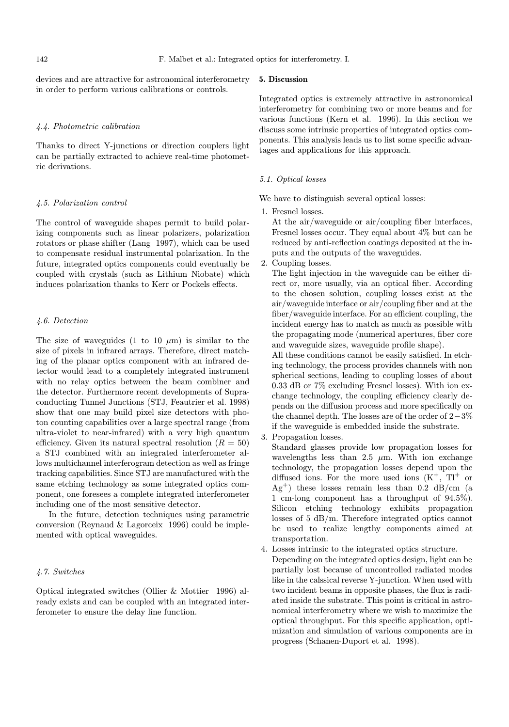devices and are attractive for astronomical interferometry in order to perform various calibrations or controls.

## 4.4. Photometric calibration

Thanks to direct Y-junctions or direction couplers light can be partially extracted to achieve real-time photometric derivations.

## 4.5. Polarization control

The control of waveguide shapes permit to build polarizing components such as linear polarizers, polarization rotators or phase shifter (Lang 1997), which can be used to compensate residual instrumental polarization. In the future, integrated optics components could eventually be coupled with crystals (such as Lithium Niobate) which induces polarization thanks to Kerr or Pockels effects.

#### 4.6. Detection

The size of waveguides (1 to 10  $\mu$ m) is similar to the size of pixels in infrared arrays. Therefore, direct matching of the planar optics component with an infrared detector would lead to a completely integrated instrument with no relay optics between the beam combiner and the detector. Furthermore recent developments of Supraconducting Tunnel Junctions (STJ, Feautrier et al. 1998) show that one may build pixel size detectors with photon counting capabilities over a large spectral range (from ultra-violet to near-infrared) with a very high quantum efficiency. Given its natural spectral resolution  $(R = 50)$ a STJ combined with an integrated interferometer allows multichannel interferogram detection as well as fringe tracking capabilities. Since STJ are manufactured with the same etching technology as some integrated optics component, one foresees a complete integrated interferometer including one of the most sensitive detector.

In the future, detection techniques using parametric conversion (Reynaud & Lagorceix 1996) could be implemented with optical waveguides.

# 4.7. Switches

Optical integrated switches (Ollier & Mottier 1996) already exists and can be coupled with an integrated interferometer to ensure the delay line function.

## 5. Discussion

Integrated optics is extremely attractive in astronomical interferometry for combining two or more beams and for various functions (Kern et al. 1996). In this section we discuss some intrinsic properties of integrated optics components. This analysis leads us to list some specific advantages and applications for this approach.

# 5.1. Optical losses

We have to distinguish several optical losses:

1. Fresnel losses.

At the air/waveguide or air/coupling fiber interfaces, Fresnel losses occur. They equal about 4% but can be reduced by anti-reflection coatings deposited at the inputs and the outputs of the waveguides.

2. Coupling losses.

The light injection in the waveguide can be either direct or, more usually, via an optical fiber. According to the chosen solution, coupling losses exist at the air/waveguide interface or air/coupling fiber and at the fiber/waveguide interface. For an efficient coupling, the incident energy has to match as much as possible with the propagating mode (numerical apertures, fiber core and waveguide sizes, waveguide profile shape).

All these conditions cannot be easily satisfied. In etching technology, the process provides channels with non spherical sections, leading to coupling losses of about 0.33 dB or 7% excluding Fresnel losses). With ion exchange technology, the coupling efficiency clearly depends on the diffusion process and more specifically on the channel depth. The losses are of the order of 2−3% if the waveguide is embedded inside the substrate.

3. Propagation losses.

Standard glasses provide low propagation losses for wavelengths less than 2.5  $\mu$ m. With ion exchange technology, the propagation losses depend upon the diffused ions. For the more used ions  $(K^+$ ,  $Tl^+$  or  $Ag<sup>+</sup>$ ) these losses remain less than 0.2 dB/cm (a 1 cm-long component has a throughput of 94.5%). Silicon etching technology exhibits propagation losses of 5 dB/m. Therefore integrated optics cannot be used to realize lengthy components aimed at transportation.

4. Losses intrinsic to the integrated optics structure.

Depending on the integrated optics design, light can be partially lost because of uncontrolled radiated modes like in the calssical reverse Y-junction. When used with two incident beams in opposite phases, the flux is radiated inside the substrate. This point is critical in astronomical interferometry where we wish to maximize the optical throughput. For this specific application, optimization and simulation of various components are in progress (Schanen-Duport et al. 1998).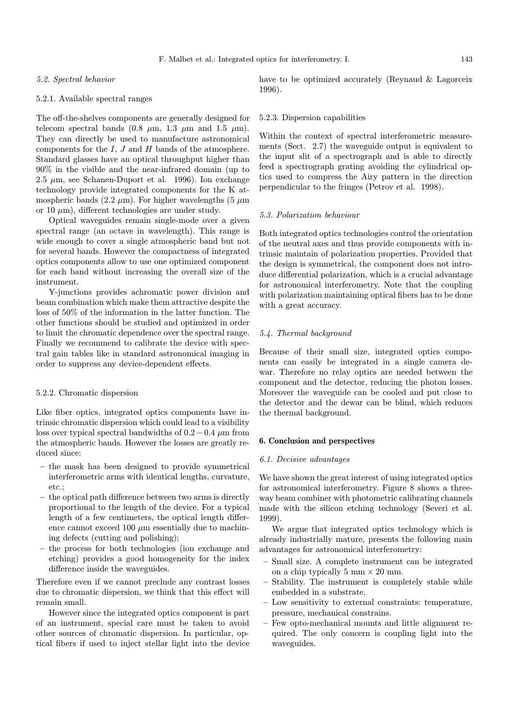#### 5.2. Spectral behavior

## 5.2.1. Available spectral ranges

The off-the-shelves components are generally designed for telecom spectral bands  $(0.8 \mu m, 1.3 \mu m, and 1.5 \mu m)$ . They can directly be used to manufacture astronomical components for the  $I, J$  and  $H$  bands of the atmosphere. Standard glasses have an optical throughput higher than 90% in the visible and the near-infrared domain (up to 2.5  $\mu$ m, see Schanen-Duport et al. 1996). Ion exchange technology provide integrated components for the K atmospheric bands (2.2  $\mu$ m). For higher wavelengths (5  $\mu$ m or 10  $\mu$ m), different technologies are under study.

Optical waveguides remain single-mode over a given spectral range (an octave in wavelength). This range is wide enough to cover a single atmospheric band but not for several bands. However the compactness of integrated optics components allow to use one optimized component for each band without increasing the overall size of the instrument.

Y-junctions provides achromatic power division and beam combination which make them attractive despite the loss of 50% of the information in the latter function. The other functions should be studied and optimized in order to limit the chromatic dependence over the spectral range. Finally we recommend to calibrate the device with spectral gain tables like in standard astronomical imaging in order to suppress any device-dependent effects.

# 5.2.2. Chromatic dispersion

Like fiber optics, integrated optics components have intrinsic chromatic dispersion which could lead to a visibility loss over typical spectral bandwidths of  $0.2-0.4 \mu m$  from the atmospheric bands. However the losses are greatly reduced since:

- the mask has been designed to provide symmetrical interferometric arms with identical lengths, curvature, etc.;
- the optical path difference between two arms is directly proportional to the length of the device. For a typical length of a few centimeters, the optical length difference cannot exceed 100  $\mu$ m essentially due to machining defects (cutting and polishing);
- the process for both technologies (ion exchange and etching) provides a good homogeneity for the index difference inside the waveguides.

Therefore even if we cannot preclude any contrast losses due to chromatic dispersion, we think that this effect will remain small.

However since the integrated optics component is part of an instrument, special care must be taken to avoid other sources of chromatic dispersion. In particular, optical fibers if used to inject stellar light into the device have to be optimized accurately (Reynaud & Lagorceix 1996).

## 5.2.3. Dispersion capabilities

Within the context of spectral interferometric measurements (Sect. 2.7) the waveguide output is equivalent to the input slit of a spectrograph and is able to directly feed a spectrograph grating avoiding the cylindrical optics used to compress the Airy pattern in the direction perpendicular to the fringes (Petrov et al. 1998).

## 5.3. Polarization behaviour

Both integrated optics technologies control the orientation of the neutral axes and thus provide components with intrinsic maintain of polarization properties. Provided that the design is symmetrical, the component does not introduce differential polarization, which is a crucial advantage for astronomical interferometry. Note that the coupling with polarization maintaining optical fibers has to be done with a great accuracy.

## 5.4. Thermal background

Because of their small size, integrated optics components can easily be integrated in a single camera dewar. Therefore no relay optics are needed between the component and the detector, reducing the photon losses. Moreover the waveguide can be cooled and put close to the detector and the dewar can be blind, which reduces the thermal background.

## 6. Conclusion and perspectives

#### 6.1. Decisive advantages

We have shown the great interest of using integrated optics for astronomical interferometry. Figure 8 shows a threeway beam combiner with photometric calibrating channels made with the silicon etching technology (Severi et al. 1999).

We argue that integrated optics technology which is already industrially mature, presents the following main advantages for astronomical interferometry:

- Small size. A complete instrument can be integrated on a chip typically 5 mm  $\times$  20 mm.
- Stability. The instrument is completely stable while embedded in a substrate.
- Low sensitivity to external constraints: temperature, pressure, mechanical constrains.
- Few opto-mechanical mounts and little alignment required. The only concern is coupling light into the waveguides.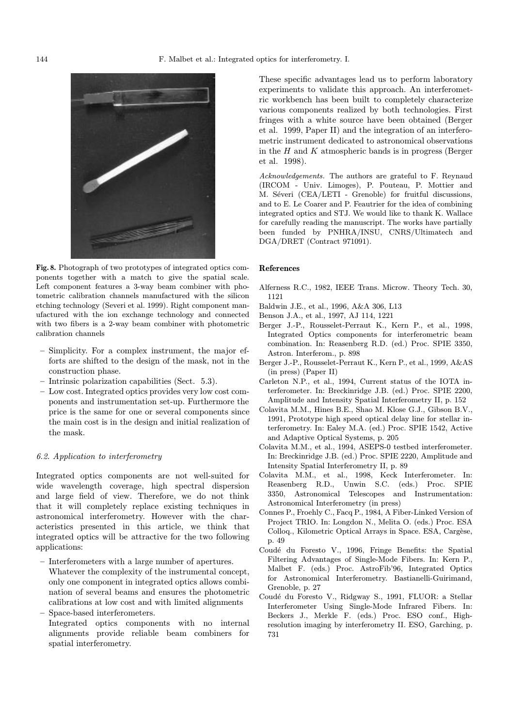

Fig. 8. Photograph of two prototypes of integrated optics components together with a match to give the spatial scale. Left component features a 3-way beam combiner with photometric calibration channels manufactured with the silicon etching technology (Severi et al. 1999). Right component manufactured with the ion exchange technology and connected with two fibers is a 2-way beam combiner with photometric calibration channels

- Simplicity. For a complex instrument, the major efforts are shifted to the design of the mask, not in the construction phase.
- Intrinsic polarization capabilities (Sect. 5.3).
- Low cost. Integrated optics provides very low cost components and instrumentation set-up. Furthermore the price is the same for one or several components since the main cost is in the design and initial realization of the mask.

# 6.2. Application to interferometry

Integrated optics components are not well-suited for wide wavelength coverage, high spectral dispersion and large field of view. Therefore, we do not think that it will completely replace existing techniques in astronomical interferometry. However with the characteristics presented in this article, we think that integrated optics will be attractive for the two following applications:

- Interferometers with a large number of apertures.
- Whatever the complexity of the instrumental concept, only one component in integrated optics allows combination of several beams and ensures the photometric calibrations at low cost and with limited alignments
- Space-based interferometers.
- Integrated optics components with no internal alignments provide reliable beam combiners for spatial interferometry.

These specific advantages lead us to perform laboratory experiments to validate this approach. An interferometric workbench has been built to completely characterize various components realized by both technologies. First fringes with a white source have been obtained (Berger et al. 1999, Paper II) and the integration of an interferometric instrument dedicated to astronomical observations in the  $H$  and  $K$  atmospheric bands is in progress (Berger et al. 1998).

Acknowledgements. The authors are grateful to F. Reynaud (IRCOM - Univ. Limoges), P. Pouteau, P. Mottier and M. Séveri (CEA/LETI - Grenoble) for fruitful discussions, and to E. Le Coarer and P. Feautrier for the idea of combining integrated optics and STJ. We would like to thank K. Wallace for carefully reading the manuscript. The works have partially been funded by PNHRA/INSU, CNRS/Ultimatech and DGA/DRET (Contract 971091).

## References

- Alferness R.C., 1982, IEEE Trans. Microw. Theory Tech. 30, 1121
- Baldwin J.E., et al., 1996, A&A 306, L13
- Benson J.A., et al., 1997, AJ 114, 1221
- Berger J.-P., Rousselet-Perraut K., Kern P., et al., 1998, Integrated Optics components for interferometric beam combination. In: Reasenberg R.D. (ed.) Proc. SPIE 3350, Astron. Interferom., p. 898
- Berger J.-P., Rousselet-Perraut K., Kern P., et al., 1999, A&AS (in press) (Paper II)
- Carleton N.P., et al., 1994, Current status of the IOTA interferometer. In: Breckinridge J.B. (ed.) Proc. SPIE 2200, Amplitude and Intensity Spatial Interferometry II, p. 152
- Colavita M.M., Hines B.E., Shao M. Klose G.J., Gibson B.V., 1991, Prototype high speed optical delay line for stellar interferometry. In: Ealey M.A. (ed.) Proc. SPIE 1542, Active and Adaptive Optical Systems, p. 205
- Colavita M.M., et al., 1994, ASEPS-0 testbed interferometer. In: Breckinridge J.B. (ed.) Proc. SPIE 2220, Amplitude and Intensity Spatial Interferometry II, p. 89
- Colavita M.M., et al., 1998, Keck Interferometer. In: Reasenberg R.D., Unwin S.C. (eds.) Proc. SPIE 3350, Astronomical Telescopes and Instrumentation: Astronomical Interferometry (in press)
- Connes P., Froehly C., Facq P., 1984, A Fiber-Linked Version of Project TRIO. In: Longdon N., Melita O. (eds.) Proc. ESA Colloq., Kilometric Optical Arrays in Space. ESA, Cargèse, p. 49
- Coudé du Foresto V., 1996, Fringe Benefits: the Spatial Filtering Advantages of Single-Mode Fibers. In: Kern P., Malbet F. (eds.) Proc. AstroFib'96, Integrated Optics for Astronomical Interferometry. Bastianelli-Guirimand, Grenoble, p. 27
- Coudé du Foresto V., Ridgway S., 1991, FLUOR: a Stellar Interferometer Using Single-Mode Infrared Fibers. In: Beckers J., Merkle F. (eds.) Proc. ESO conf., Highresolution imaging by interferometry II. ESO, Garching, p. 731